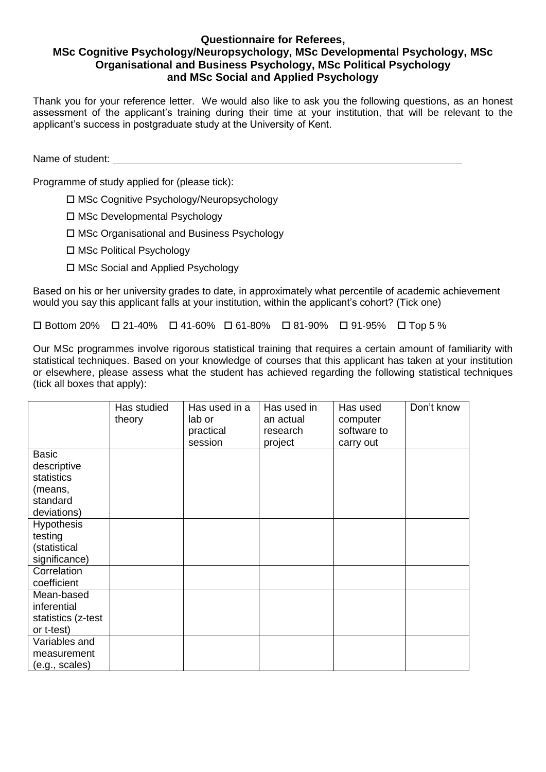## **Questionnaire for Referees, MSc Cognitive Psychology/Neuropsychology, MSc Developmental Psychology, MSc Organisational and Business Psychology, MSc Political Psychology and MSc Social and Applied Psychology**

Thank you for your reference letter. We would also like to ask you the following questions, as an honest assessment of the applicant's training during their time at your institution, that will be relevant to the applicant's success in postgraduate study at the University of Kent.

Name of student:

Programme of study applied for (please tick):

- MSc Cognitive Psychology/Neuropsychology
- □ MSc Developmental Psychology
- MSc Organisational and Business Psychology
- □ MSc Political Psychology
- □ MSc Social and Applied Psychology

Based on his or her university grades to date, in approximately what percentile of academic achievement would you say this applicant falls at your institution, within the applicant's cohort? (Tick one)

 $\Box$  Bottom 20%  $\Box$  21-40%  $\Box$  41-60%  $\Box$  61-80%  $\Box$  81-90%  $\Box$  91-95%  $\Box$  Top 5 %

Our MSc programmes involve rigorous statistical training that requires a certain amount of familiarity with statistical techniques. Based on your knowledge of courses that this applicant has taken at your institution or elsewhere, please assess what the student has achieved regarding the following statistical techniques (tick all boxes that apply):

|                    | Has studied | Has used in a | Has used in | Has used    | Don't know |
|--------------------|-------------|---------------|-------------|-------------|------------|
|                    | theory      | lab or        | an actual   | computer    |            |
|                    |             | practical     | research    | software to |            |
|                    |             | session       | project     | carry out   |            |
| <b>Basic</b>       |             |               |             |             |            |
| descriptive        |             |               |             |             |            |
| statistics         |             |               |             |             |            |
| (means,            |             |               |             |             |            |
| standard           |             |               |             |             |            |
| deviations)        |             |               |             |             |            |
| <b>Hypothesis</b>  |             |               |             |             |            |
| testing            |             |               |             |             |            |
| (statistical       |             |               |             |             |            |
| significance)      |             |               |             |             |            |
| Correlation        |             |               |             |             |            |
| coefficient        |             |               |             |             |            |
| Mean-based         |             |               |             |             |            |
| inferential        |             |               |             |             |            |
| statistics (z-test |             |               |             |             |            |
| or t-test)         |             |               |             |             |            |
| Variables and      |             |               |             |             |            |
| measurement        |             |               |             |             |            |
| (e.g., scales)     |             |               |             |             |            |